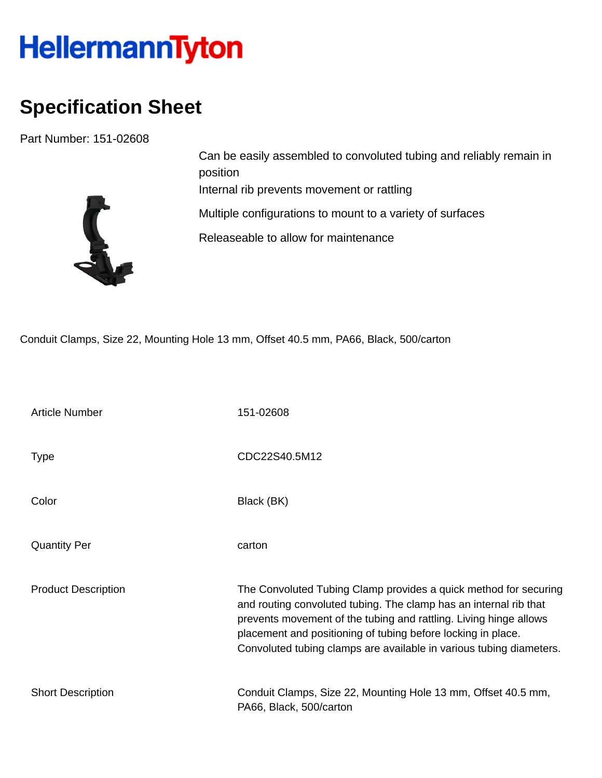## HellermannTyton

## **Specification Sheet**

Part Number: 151-02608



Can be easily assembled to convoluted tubing and reliably remain in position Internal rib prevents movement or rattling Multiple configurations to mount to a variety of surfaces Releaseable to allow for maintenance

Conduit Clamps, Size 22, Mounting Hole 13 mm, Offset 40.5 mm, PA66, Black, 500/carton

| <b>Article Number</b>      | 151-02608                                                                                                                                                                                                                                                                                                                                         |
|----------------------------|---------------------------------------------------------------------------------------------------------------------------------------------------------------------------------------------------------------------------------------------------------------------------------------------------------------------------------------------------|
| <b>Type</b>                | CDC22S40.5M12                                                                                                                                                                                                                                                                                                                                     |
| Color                      | Black (BK)                                                                                                                                                                                                                                                                                                                                        |
| <b>Quantity Per</b>        | carton                                                                                                                                                                                                                                                                                                                                            |
| <b>Product Description</b> | The Convoluted Tubing Clamp provides a quick method for securing<br>and routing convoluted tubing. The clamp has an internal rib that<br>prevents movement of the tubing and rattling. Living hinge allows<br>placement and positioning of tubing before locking in place.<br>Convoluted tubing clamps are available in various tubing diameters. |
| <b>Short Description</b>   | Conduit Clamps, Size 22, Mounting Hole 13 mm, Offset 40.5 mm,<br>PA66, Black, 500/carton                                                                                                                                                                                                                                                          |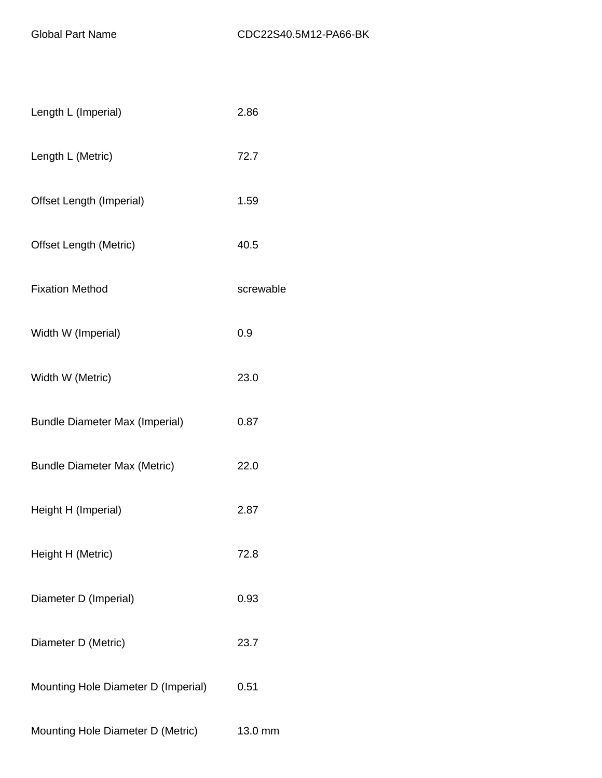| Length L (Imperial)                   | 2.86      |
|---------------------------------------|-----------|
| Length L (Metric)                     | 72.7      |
| Offset Length (Imperial)              | 1.59      |
| <b>Offset Length (Metric)</b>         | 40.5      |
| <b>Fixation Method</b>                | screwable |
| Width W (Imperial)                    | 0.9       |
| Width W (Metric)                      | 23.0      |
| <b>Bundle Diameter Max (Imperial)</b> | 0.87      |
| <b>Bundle Diameter Max (Metric)</b>   | 22.0      |
| Height H (Imperial)                   | 2.87      |
| Height H (Metric)                     | 72.8      |
| Diameter D (Imperial)                 | 0.93      |
| Diameter D (Metric)                   | 23.7      |
| Mounting Hole Diameter D (Imperial)   | 0.51      |
| Mounting Hole Diameter D (Metric)     | 13.0 mm   |